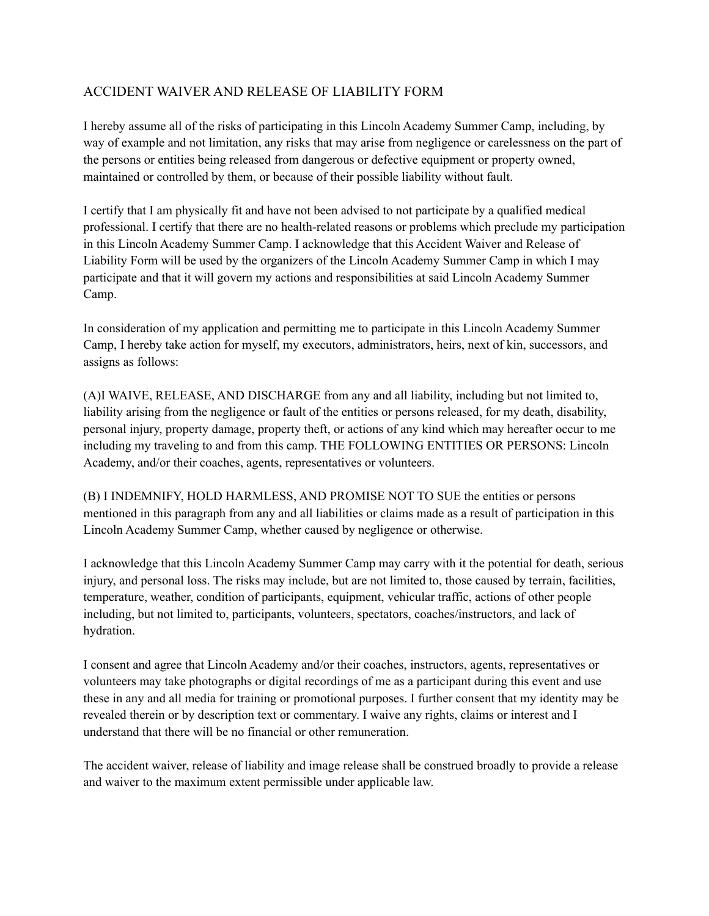## ACCIDENT WAIVER AND RELEASE OF LIABILITY FORM

I hereby assume all of the risks of participating in this Lincoln Academy Summer Camp, including, by way of example and not limitation, any risks that may arise from negligence or carelessness on the part of the persons or entities being released from dangerous or defective equipment or property owned, maintained or controlled by them, or because of their possible liability without fault.

I certify that I am physically fit and have not been advised to not participate by a qualified medical professional. I certify that there are no health-related reasons or problems which preclude my participation in this Lincoln Academy Summer Camp. I acknowledge that this Accident Waiver and Release of Liability Form will be used by the organizers of the Lincoln Academy Summer Camp in which I may participate and that it will govern my actions and responsibilities at said Lincoln Academy Summer Camp.

In consideration of my application and permitting me to participate in this Lincoln Academy Summer Camp, I hereby take action for myself, my executors, administrators, heirs, next of kin, successors, and assigns as follows:

(A)I WAIVE, RELEASE, AND DISCHARGE from any and all liability, including but not limited to, liability arising from the negligence or fault of the entities or persons released, for my death, disability, personal injury, property damage, property theft, or actions of any kind which may hereafter occur to me including my traveling to and from this camp. THE FOLLOWING ENTITIES OR PERSONS: Lincoln Academy, and/or their coaches, agents, representatives or volunteers.

(B) I INDEMNIFY, HOLD HARMLESS, AND PROMISE NOT TO SUE the entities or persons mentioned in this paragraph from any and all liabilities or claims made as a result of participation in this Lincoln Academy Summer Camp, whether caused by negligence or otherwise.

I acknowledge that this Lincoln Academy Summer Camp may carry with it the potential for death, serious injury, and personal loss. The risks may include, but are not limited to, those caused by terrain, facilities, temperature, weather, condition of participants, equipment, vehicular traffic, actions of other people including, but not limited to, participants, volunteers, spectators, coaches/instructors, and lack of hydration.

I consent and agree that Lincoln Academy and/or their coaches, instructors, agents, representatives or volunteers may take photographs or digital recordings of me as a participant during this event and use these in any and all media for training or promotional purposes. I further consent that my identity may be revealed therein or by description text or commentary. I waive any rights, claims or interest and I understand that there will be no financial or other remuneration.

The accident waiver, release of liability and image release shall be construed broadly to provide a release and waiver to the maximum extent permissible under applicable law.